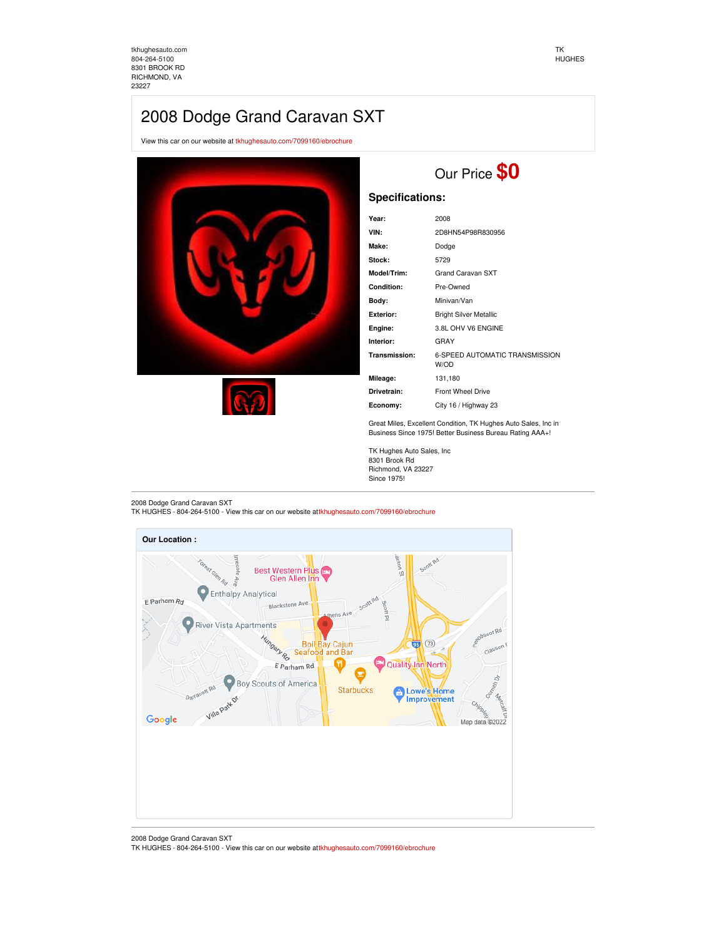[tkhughesauto.com](https://tkhughesauto.com/) [804-264-5100](tel:804-264-5100) 8301 BROOK RD RICHMOND, VA 23227

#### TK HUGHES

## 2008 Dodge Grand Caravan SXT

View this car on our website at [tkhughesauto.com/7099160/ebrochure](https://tkhughesauto.com/vehicle/7099160/2008-dodge-grand-caravan-sxt-richmond-va-23227/7099160/ebrochure)





# Our Price **\$0**

## **Specifications:**

| Year:            | 2008                                   |
|------------------|----------------------------------------|
| VIN:             | 2D8HN54P98R830956                      |
| Make:            | Dodge                                  |
| Stock:           | 5729                                   |
| Model/Trim:      | <b>Grand Caravan SXT</b>               |
| Condition:       | Pre-Owned                              |
| Body:            | Minivan/Van                            |
| <b>Exterior:</b> | <b>Bright Silver Metallic</b>          |
| Engine:          | 3.8L OHV V6 ENGINE                     |
| Interior:        | GRAY                                   |
| Transmission:    | 6-SPEED AUTOMATIC TRANSMISSION<br>W/OD |
| Mileage:         | 131,180                                |
| Drivetrain:      | <b>Front Wheel Drive</b>               |
| Economy:         | City 16 / Highway 23                   |

Great Miles, Excellent Condition, TK Hughes Auto Sales, Inc in Business Since 1975! Better Business Bureau Rating AAA+!

TK Hughes Auto Sales, Inc 8301 Brook Rd Richmond, VA 23227 Since 1975!

2008 Dodge Grand Caravan SXT

TK HUGHES - 804-264-5100 - View this car on our website at[tkhughesauto.com/7099160/ebrochure](https://tkhughesauto.com/vehicle/7099160/2008-dodge-grand-caravan-sxt-richmond-va-23227/7099160/ebrochure)



2008 Dodge Grand Caravan SXT

TK HUGHES - 804-264-5100 - View this car on our website at[tkhughesauto.com/7099160/ebrochure](https://tkhughesauto.com/vehicle/7099160/2008-dodge-grand-caravan-sxt-richmond-va-23227/7099160/ebrochure)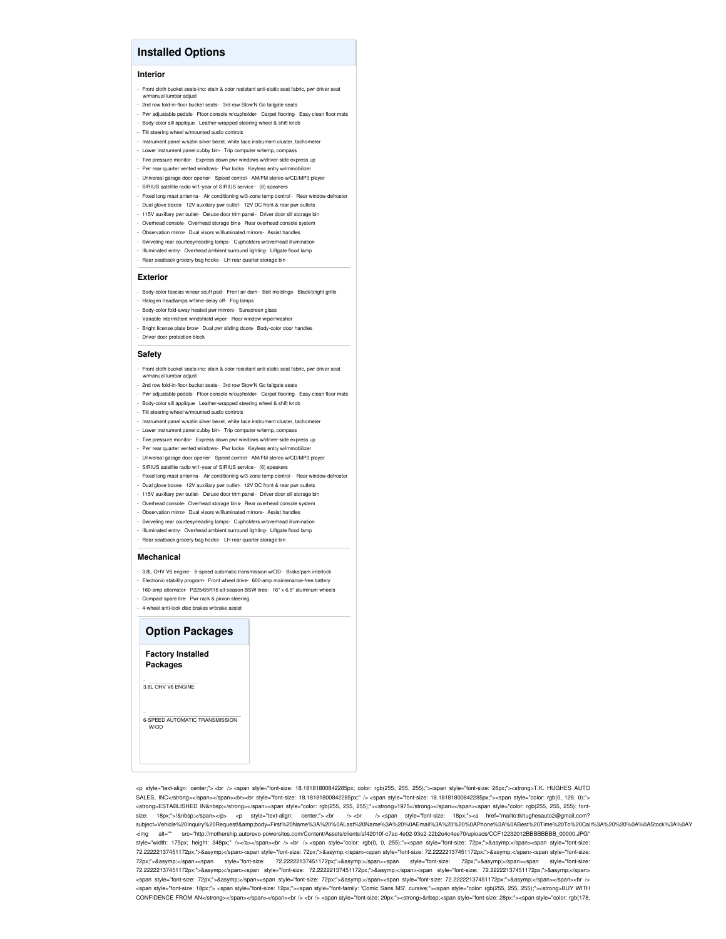## **Installed Options**

#### **Interior**

- Front cloth bucket seats-inc: stain & odor resistant anti-static seat fabric, pwr driver seat w/manual lumbar adjust
- 2nd row fold-in-floor bucket seats- 3rd row Stow'N Go tailgate seats
- Pwr adjustable pedals- Floor console w/cupholder- Carpet flooring- Easy clean floor mats
- Body-color sill applique- Leather-wrapped steering wheel & shift knob
- Tilt steering wheel w/mounted audio controls
- Instrument panel w/satin silver bezel, white face instrument cluster, tachometer
- Lower instrument panel cubby bin- Trip computer w/temp, compass
- Tire pressure monitor- Express down pwr windows w/driver-side express up
- Pwr rear quarter vented windows- Pwr locks- Keyless entry w/immobilize - Universal garage door opener- Speed control- AM/FM stereo w/CD/MP3 player
- SIRIUS satellite radio w/1-year of SIRIUS service (6) speakers
- Fixed long mast antenna- Air conditioning w/3-zone temp control Rear window defroster
- Dual glove boxes- 12V auxiliary pwr outlet- 12V DC front & rear pwr outlets
- 115V auxiliary pwr outlet- Deluxe door trim panel- Driver door sill storage bin
- Overhead console- Overhead storage bins- Rear overhead console system
- Observation mirror- Dual visors w/illuminated mirrors- Assist handles
- Swiveling rear courtesy/reading lamps- Cupholders w/overhead illumination
- Illuminated entry- Overhead ambient surround lighting- Liftgate flood lamp Rear seatback grocery bag hooks- LH rear quarter storage bin

#### **Exterior**

- Body-color fascias w/rear scuff pad- Front air dam- Belt moldings- Black/bright grille
- Halogen headlamps w/time-delay off- Fog lamps
- Body-color fold-away heated pwr mirrors- Sunscreen glass
- Variable intermittent windshield wiper- Rear window wiper/washe
- Bright license plate brow- Dual pwr sliding doors- Body-color door handles - Driver door protection block

#### **Safety**

- Front cloth bucket seats-inc: stain & odor resistant anti-static seat fabric, pwr driver seat w/manual lumbar adjust
- 2nd row fold-in-floor bucket seats- 3rd row Stow'N Go tailgate seats
- Pwr adjustable pedals- Floor console w/cupholder- Carpet flooring- Easy clean floor mats
- Body-color sill applique- Leather-wrapped steering wheel & shift knob
- Tilt steering wheel w/mounted audio controls
- Instrument panel w/satin silver bezel, white face instrument cluster, tachometer
- Lower instrument panel cubby bin- Trip computer w/temp, compass
- Tire pressure monitor- Express down pwr windows w/driver-side express up
- Pwr rear quarter vented windows- Pwr locks- Keyless entry w/immobilizer
- Universal garage door opener- Speed control- AM/FM stereo w/CD/MP3 player
- SIRIUS satellite radio w/1-year of SIRIUS service (6) speakers
- Fixed long mast antenna- Air conditioning w/3-zone temp control Rear window defroster
- Dual glove boxes- 12V auxiliary pwr outlet- 12V DC front & rear pwr outlets
- 115V auxiliary pwr outlet- Deluxe door trim panel- Driver door sill storage bin
- Overhead console- Overhead storage bins- Rear overhead console system
- Observation mirror- Dual visors w/illuminated mirrors- Assist handles
- Swiveling rear courtesy/reading lamps- Cupholders w/overhead illumination
- Illuminated entry- Overhead ambient surround lighting- Liftgate flood lamp
- Rear seatback grocery bag hooks- LH rear quarter storage bin

#### **Mechanical**

- 3.8L OHV V6 engine- 6-speed automatic transmission w/OD- Brake/park interlock
- Electronic stability program- Front wheel drive- 600-amp maintenance-free battery
- 160-amp alternator- P225/65R16 all-season BSW tires- 16" x 6.5" aluminum wheels
- Compact spare tire- Pwr rack & pinion steering
- 4-wheel anti-lock disc brakes w/brake assist

### **Option Packages**

**Factory Installed Packages**

-<br>3.8L OHV V6 ENGINE

W/OD

- 6-SPEED AUTOMATIC TRANSMISSION

<p style="text-align: center;"> <br /> <span style="font-size: 18.18181800842285px; color: rgb(255, 255, 255);"><span style="font-size: 26px;"><strong>T.K. HUGHES AUTO SALES, INC</strong></span></span><br><br style="font-size: 18.18181800842285px;" /> <span style="font-size: 18.18181800842285px;"><span style="color: rgb(0, 128, 0);"> <strong>ESTABLISHED IN&nbsp;</strong></span><span style="color: rgb(255, 255, 255);"><strong>1975</strong></span></span><span style="color: rgb(255, 255, 255); fontsize: 18px;">! </span></p> <p style="text-align: center;"> <br /> <br />> /> <br />> /> <<br />>//> /> </aspan style="font-size: 18px;"><a href="mailto:tkhughesauto2@gmail.com? subject=Vehicle%20Inquiry%20Request!&body=First%20Name%3A%20%0ALast%20Name%3A%20%0AFmail%3A%20%0A%0APhone%3A%0ABest%20Time%20To%20Call%3A%20%20%0A%0AStock%3A%0AY<br><img alt="" src="http://mothership.autorevo-powersites.c src="http://mothership.autorevo-powersites.com/Content/Assets/clients/af42010f-c7ec-4e02-93e2-22b2e4c4ee70/uploads/CCF12232012BBBBBBBB\_00000.JPG" style="width: 175px; height: 348px;" /></a></span><br />
<br />
</span style="color: rgb(0, 0, 255);"><span style="font-size: 72px;">&asymp;</span><span style="font-size: 72.22222137451172px;">≈</span><span style="font-size: 72px;">&asymp;</span><span style="font-size: 72.2222137451172px;">&asymp;</span><span style="font-size: 72px;">≈</span><span style="font-size: 72.22222137451172px;">&asymp;</span><span style="font-size: 72px;">&asymp;</span><span style="font-size: 72.22222137451172px;">≈</span><span style="font-size: 72.22222137451172px;">&asymp;</span><span style="font-size: 72.22222137451172px;">&asymp;</span> <span style="font-size: 72px;">&asymp;</span><span style="font-size: 72px;">&asymp;</span></span></span></span></span></span></span></span></span></span></span></span></span></span></span></span></span></span></span= <span style="font-size: 18px;"> <span style="font-size: 12px;"><span style="font-family: 'Comic Sans MS', cursive;"><span style="color: rgb(255, 255, 255);"><strong>BUY WITH CONFIDENCE FROM AN</strong></span></span></span>>br /> <br />br /> <span style="tont-size: 20px;"><strong>&nbsp;<span style="tont-size: 28px;"><span style="color: rgb(178,